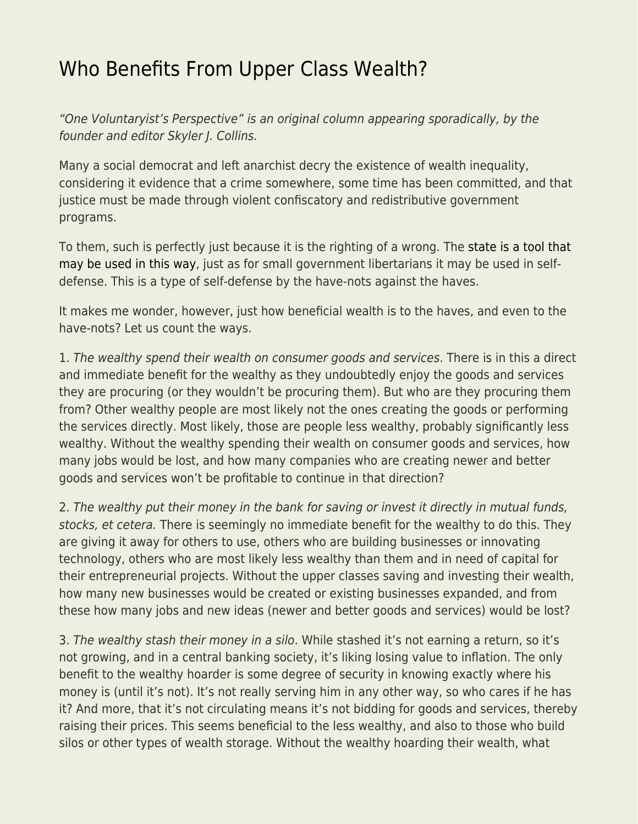## [Who Benefits From Upper Class Wealth?](https://everything-voluntary.com/benefits-from-wealth)

"One Voluntaryist's Perspective" is an original column appearing sporadically, by the founder and editor Skyler J. Collins.

Many a social democrat and left anarchist decry the existence of wealth inequality, considering it evidence that a crime somewhere, some time has been committed, and that justice must be made through violent confiscatory and redistributive government programs.

To them, such is perfectly just because it is the righting of a wrong. The [state is a tool that](http://everything-voluntary.com/the-state-is-a-tool) [may be used in this way](http://everything-voluntary.com/the-state-is-a-tool), just as for small government libertarians it may be used in selfdefense. This is a type of self-defense by the have-nots against the haves.

It makes me wonder, however, just how beneficial wealth is to the haves, and even to the have-nots? Let us count the ways.

1. The wealthy spend their wealth on consumer goods and services. There is in this a direct and immediate benefit for the wealthy as they undoubtedly enjoy the goods and services they are procuring (or they wouldn't be procuring them). But who are they procuring them from? Other wealthy people are most likely not the ones creating the goods or performing the services directly. Most likely, those are people less wealthy, probably significantly less wealthy. Without the wealthy spending their wealth on consumer goods and services, how many jobs would be lost, and how many companies who are creating newer and better goods and services won't be profitable to continue in that direction?

2. The wealthy put their money in the bank for saving or invest it directly in mutual funds, stocks, et cetera. There is seemingly no immediate benefit for the wealthy to do this. They are giving it away for others to use, others who are building businesses or innovating technology, others who are most likely less wealthy than them and in need of capital for their entrepreneurial projects. Without the upper classes saving and investing their wealth, how many new businesses would be created or existing businesses expanded, and from these how many jobs and new ideas (newer and better goods and services) would be lost?

3. The wealthy stash their money in a silo. While stashed it's not earning a return, so it's not growing, and in a central banking society, it's liking losing value to inflation. The only benefit to the wealthy hoarder is some degree of security in knowing exactly where his money is (until it's not). It's not really serving him in any other way, so who cares if he has it? And more, that it's not circulating means it's not bidding for goods and services, thereby raising their prices. This seems beneficial to the less wealthy, and also to those who build silos or other types of wealth storage. Without the wealthy hoarding their wealth, what